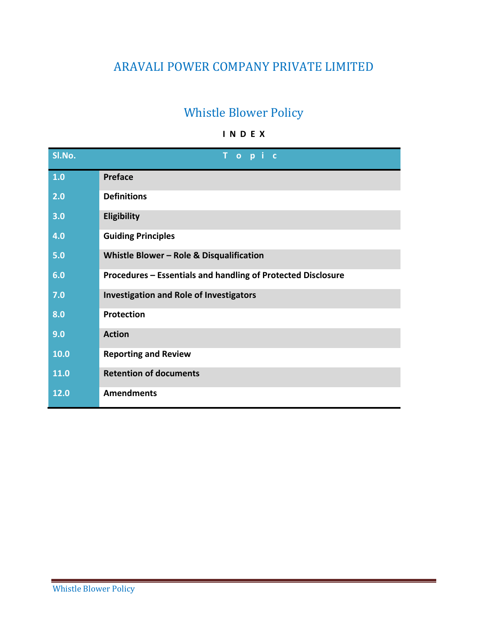## ARAVALI POWER COMPANY PRIVATE LIMITED

# Whistle Blower Policy

## **I N D E X**

| SI.No. | Topic                                                        |
|--------|--------------------------------------------------------------|
| 1.0    | <b>Preface</b>                                               |
| 2.0    | <b>Definitions</b>                                           |
| 3.0    | <b>Eligibility</b>                                           |
| 4.0    | <b>Guiding Principles</b>                                    |
| 5.0    | Whistle Blower - Role & Disqualification                     |
| 6.0    | Procedures - Essentials and handling of Protected Disclosure |
| 7.0    | <b>Investigation and Role of Investigators</b>               |
| 8.0    | Protection                                                   |
| 9.0    | <b>Action</b>                                                |
| 10.0   | <b>Reporting and Review</b>                                  |
| 11.0   | <b>Retention of documents</b>                                |
| 12.0   | <b>Amendments</b>                                            |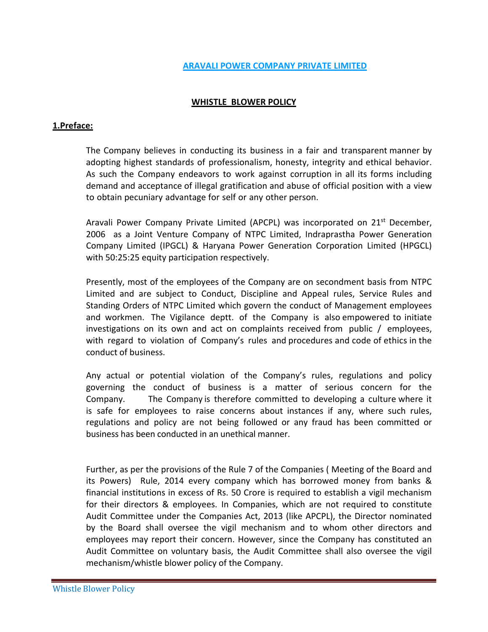#### **WHISTLE BLOWER POLICY**

#### **1.Preface:**

The Company believes in conducting its business in a fair and transparent manner by adopting highest standards of professionalism, honesty, integrity and ethical behavior. As such the Company endeavors to work against corruption in all its forms including demand and acceptance of illegal gratification and abuse of official position with a view to obtain pecuniary advantage for self or any other person.

Aravali Power Company Private Limited (APCPL) was incorporated on  $21^{st}$  December, 2006 as a Joint Venture Company of NTPC Limited, Indraprastha Power Generation Company Limited (IPGCL) & Haryana Power Generation Corporation Limited (HPGCL) with 50:25:25 equity participation respectively.

Presently, most of the employees of the Company are on secondment basis from NTPC Limited and are subject to Conduct, Discipline and Appeal rules, Service Rules and Standing Orders of NTPC Limited which govern the conduct of Management employees and workmen. The Vigilance deptt. of the Company is also empowered to initiate investigations on its own and act on complaints received from public / employees, with regard to violation of Company's rules and procedures and code of ethics in the conduct of business.

Any actual or potential violation of the Company's rules, regulations and policy governing the conduct of business is a matter of serious concern for the Company. The Company is therefore committed to developing a culture where it is safe for employees to raise concerns about instances if any, where such rules, regulations and policy are not being followed or any fraud has been committed or business has been conducted in an unethical manner.

Further, as per the provisions of the Rule 7 of the Companies ( Meeting of the Board and its Powers) Rule, 2014 every company which has borrowed money from banks & financial institutions in excess of Rs. 50 Crore is required to establish a vigil mechanism for their directors & employees. In Companies, which are not required to constitute Audit Committee under the Companies Act, 2013 (like APCPL), the Director nominated by the Board shall oversee the vigil mechanism and to whom other directors and employees may report their concern. However, since the Company has constituted an Audit Committee on voluntary basis, the Audit Committee shall also oversee the vigil mechanism/whistle blower policy of the Company.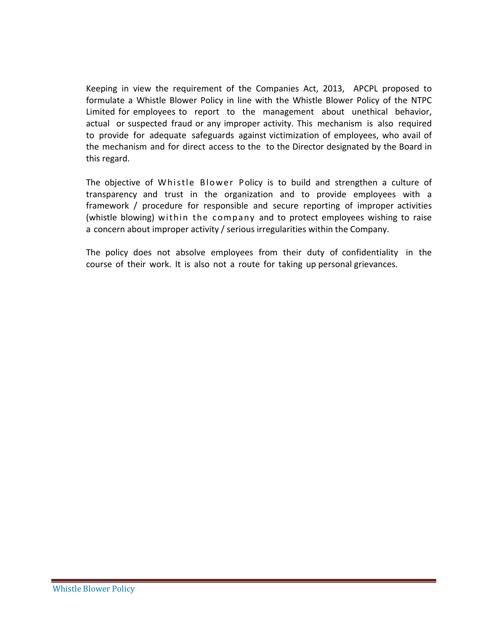Keeping in view the requirement of the Companies Act, 2013, APCPL proposed to formulate a Whistle Blower Policy in line with the Whistle Blower Policy of the NTPC Limited for employees to report to the management about unethical behavior, actual or suspected fraud or any improper activity. This mechanism is also required to provide for adequate safeguards against victimization of employees, who avail of the mechanism and for direct access to the to the Director designated by the Board in this regard.

The objective of Whistle Blower Policy is to build and strengthen a culture of transparency and trust in the organization and to provide employees with a framework / procedure for responsible and secure reporting of improper activities (whistle blowing) within the company and to protect employees wishing to raise a concern about improper activity / serious irregularities within the Company.

The policy does not absolve employees from their duty of confidentiality in the course of their work. It is also not a route for taking up personal grievances.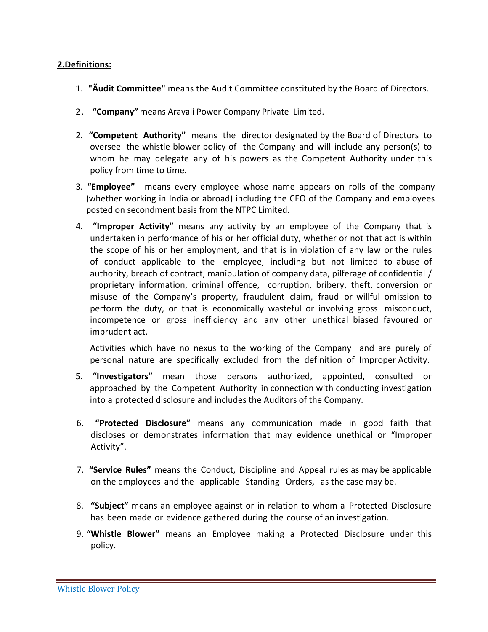#### **2.Definitions:**

- 1. **"Äudit Committee"** means the Audit Committee constituted by the Board of Directors.
- 2. **"Company"** means Aravali Power Company Private Limited.
- 2. **"Competent Authority"** means the director designated by the Board of Directors to oversee the whistle blower policy of the Company and will include any person(s) to whom he may delegate any of his powers as the Competent Authority under this policy from time to time.
- 3. **"Employee"**  means every employee whose name appears on rolls of the company (whether working in India or abroad) including the CEO of the Company and employees posted on secondment basis from the NTPC Limited.
- 4. **"Improper Activity"**  means any activity by an employee of the Company that is undertaken in performance of his or her official duty, whether or not that act is within the scope of his or her employment, and that is in violation of any law or the rules of conduct applicable to the employee, including but not limited to abuse of authority, breach of contract, manipulation of company data, pilferage of confidential / proprietary information, criminal offence, corruption, bribery, theft, conversion or misuse of the Company's property, fraudulent claim, fraud or willful omission to perform the duty, or that is economically wasteful or involving gross misconduct, incompetence or gross inefficiency and any other unethical biased favoured or imprudent act.

Activities which have no nexus to the working of the Company and are purely of personal nature are specifically excluded from the definition of Improper Activity.

- 5. **"Investigators"**  mean those persons authorized, appointed, consulted or approached by the Competent Authority in connection with conducting investigation into a protected disclosure and includes the Auditors of the Company.
- 6. **"Protected Disclosure"**  means any communication made in good faith that discloses or demonstrates information that may evidence unethical or "Improper Activity".
- 7. **"Service Rules"** means the Conduct, Discipline and Appeal rules as may be applicable on the employees and the applicable Standing Orders, as the case may be.
- 8. **"Subject"** means an employee against or in relation to whom a Protected Disclosure has been made or evidence gathered during the course of an investigation.
- 9. **"Whistle Blower"**  means an Employee making a Protected Disclosure under this policy.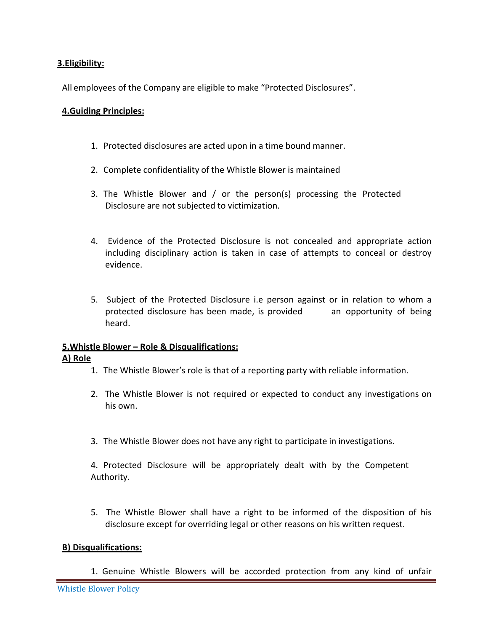## **3.Eligibility:**

All employees of the Company are eligible to make "Protected Disclosures".

#### **4.Guiding Principles:**

- 1. Protected disclosures are acted upon in a time bound manner.
- 2. Complete confidentiality of the Whistle Blower is maintained
- 3. The Whistle Blower and  $/$  or the person(s) processing the Protected Disclosure are not subjected to victimization.
- 4. Evidence of the Protected Disclosure is not concealed and appropriate action including disciplinary action is taken in case of attempts to conceal or destroy evidence.
- 5. Subject of the Protected Disclosure i.e person against or in relation to whom a protected disclosure has been made, is provided an opportunity of being heard.

#### **5.Whistle Blower – Role & Disqualifications: A) Role**

- 1. The Whistle Blower's role is that of a reporting party with reliable information.
- 2. The Whistle Blower is not required or expected to conduct any investigations on his own.
- 3. The Whistle Blower does not have any right to participate in investigations.

4. Protected Disclosure will be appropriately dealt with by the Competent Authority.

5. The Whistle Blower shall have a right to be informed of the disposition of his disclosure except for overriding legal or other reasons on his written request.

#### **B) Disqualifications:**

1. Genuine Whistle Blowers will be accorded protection from any kind of unfair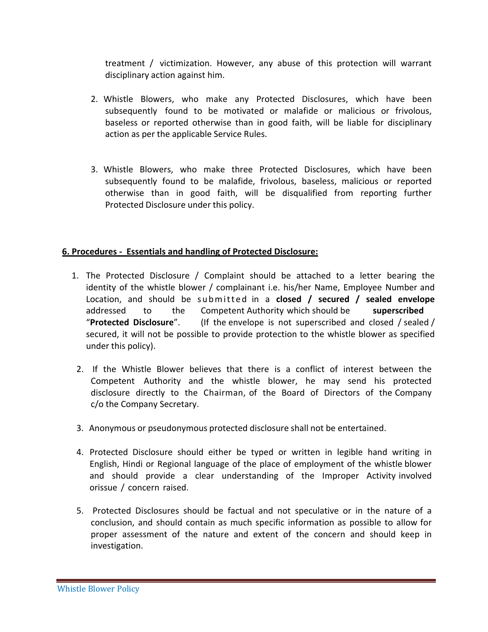treatment / victimization. However, any abuse of this protection will warrant disciplinary action against him.

- 2. Whistle Blowers, who make any Protected Disclosures, which have been subsequently found to be motivated or malafide or malicious or frivolous, baseless or reported otherwise than in good faith, will be liable for disciplinary action as per the applicable Service Rules.
- 3. Whistle Blowers, who make three Protected Disclosures, which have been subsequently found to be malafide, frivolous, baseless, malicious or reported otherwise than in good faith, will be disqualified from reporting further Protected Disclosure under this policy.

## **6. Procedures ‐ Essentials and handling of Protected Disclosure:**

- 1. The Protected Disclosure / Complaint should be attached to a letter bearing the identity of the whistle blower / complainant i.e. his/her Name, Employee Number and Location, and should be submitted in a **closed / secured / sealed envelope** addressed to the Competent Authority which should be **superscribed**  "**Protected Disclosure**". (If the envelope is not superscribed and closed / sealed / secured, it will not be possible to provide protection to the whistle blower as specified under this policy).
- 2. If the Whistle Blower believes that there is a conflict of interest between the Competent Authority and the whistle blower, he may send his protected disclosure directly to the Chairman, of the Board of Directors of the Company c/o the Company Secretary.
- 3. Anonymous or pseudonymous protected disclosure shall not be entertained.
- 4. Protected Disclosure should either be typed or written in legible hand writing in English, Hindi or Regional language of the place of employment of the whistle blower and should provide a clear understanding of the Improper Activity involved orissue / concern raised.
- 5. Protected Disclosures should be factual and not speculative or in the nature of a conclusion, and should contain as much specific information as possible to allow for proper assessment of the nature and extent of the concern and should keep in investigation.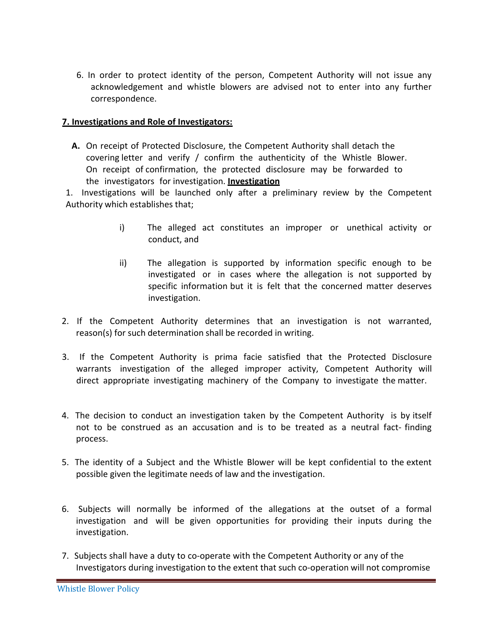6. In order to protect identity of the person, Competent Authority will not issue any acknowledgement and whistle blowers are advised not to enter into any further correspondence.

## **7. Investigations and Role of Investigators:**

**A.** On receipt of Protected Disclosure, the Competent Authority shall detach the covering letter and verify / confirm the authenticity of the Whistle Blower. On receipt of confirmation, the protected disclosure may be forwarded to the investigators for investigation. **Investigation** 

1. Investigations will be launched only after a preliminary review by the Competent Authority which establishes that;

- i) The alleged act constitutes an improper or unethical activity or conduct, and
- ii) The allegation is supported by information specific enough to be investigated or in cases where the allegation is not supported by specific information but it is felt that the concerned matter deserves investigation.
- 2. If the Competent Authority determines that an investigation is not warranted, reason(s) for such determination shall be recorded in writing.
- 3. If the Competent Authority is prima facie satisfied that the Protected Disclosure warrants investigation of the alleged improper activity, Competent Authority will direct appropriate investigating machinery of the Company to investigate the matter.
- 4. The decision to conduct an investigation taken by the Competent Authority is by itself not to be construed as an accusation and is to be treated as a neutral fact-finding process.
- 5. The identity of a Subject and the Whistle Blower will be kept confidential to the extent possible given the legitimate needs of law and the investigation.
- 6. Subjects will normally be informed of the allegations at the outset of a formal investigation and will be given opportunities for providing their inputs during the investigation.
- 7. Subjects shall have a duty to co‐operate with the Competent Authority or any of the Investigators during investigation to the extent that such co-operation will not compromise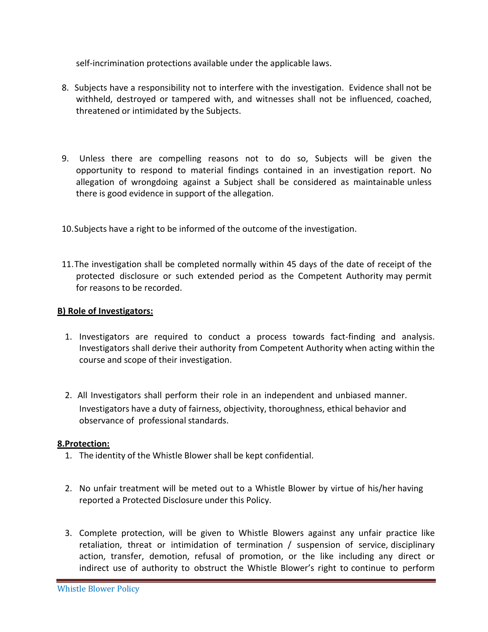self‐incrimination protections available under the applicable laws.

- 8. Subjects have a responsibility not to interfere with the investigation. Evidence shall not be withheld, destroyed or tampered with, and witnesses shall not be influenced, coached, threatened or intimidated by the Subjects.
- 9. Unless there are compelling reasons not to do so, Subjects will be given the opportunity to respond to material findings contained in an investigation report. No allegation of wrongdoing against a Subject shall be considered as maintainable unless there is good evidence in support of the allegation.
- 10. Subjects have a right to be informed of the outcome of the investigation.
- 11. The investigation shall be completed normally within 45 days of the date of receipt of the protected disclosure or such extended period as the Competent Authority may permit for reasons to be recorded.

## **B) Role of Investigators:**

- 1. Investigators are required to conduct a process towards fact‐finding and analysis. Investigators shall derive their authority from Competent Authority when acting within the course and scope of their investigation.
- 2. All Investigators shall perform their role in an independent and unbiased manner. Investigators have a duty of fairness, objectivity, thoroughness, ethical behavior and observance of professional standards.

## **8.Protection:**

- 1. The identity of the Whistle Blower shall be kept confidential.
- 2. No unfair treatment will be meted out to a Whistle Blower by virtue of his/her having reported a Protected Disclosure under this Policy.
- 3. Complete protection, will be given to Whistle Blowers against any unfair practice like retaliation, threat or intimidation of termination / suspension of service, disciplinary action, transfer, demotion, refusal of promotion, or the like including any direct or indirect use of authority to obstruct the Whistle Blower's right to continue to perform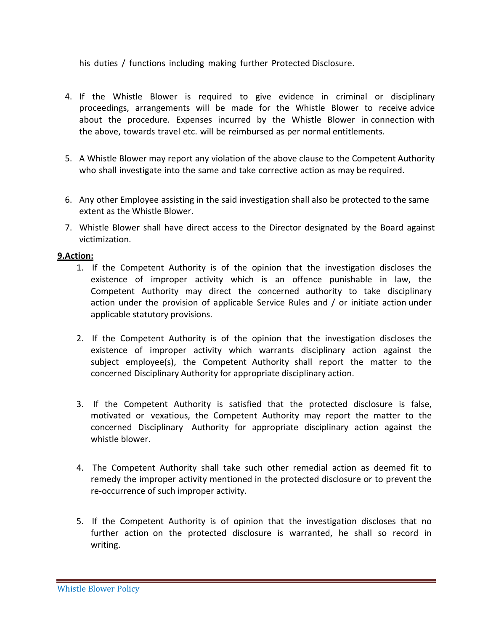his duties / functions including making further Protected Disclosure.

- 4. If the Whistle Blower is required to give evidence in criminal or disciplinary proceedings, arrangements will be made for the Whistle Blower to receive advice about the procedure. Expenses incurred by the Whistle Blower in connection with the above, towards travel etc. will be reimbursed as per normal entitlements.
- 5. A Whistle Blower may report any violation of the above clause to the Competent Authority who shall investigate into the same and take corrective action as may be required.
- 6. Any other Employee assisting in the said investigation shall also be protected to the same extent as the Whistle Blower.
- 7. Whistle Blower shall have direct access to the Director designated by the Board against victimization.

### **9.Action:**

- 1. If the Competent Authority is of the opinion that the investigation discloses the existence of improper activity which is an offence punishable in law, the Competent Authority may direct the concerned authority to take disciplinary action under the provision of applicable Service Rules and / or initiate action under applicable statutory provisions.
- 2. If the Competent Authority is of the opinion that the investigation discloses the existence of improper activity which warrants disciplinary action against the subject employee(s), the Competent Authority shall report the matter to the concerned Disciplinary Authority for appropriate disciplinary action.
- 3. If the Competent Authority is satisfied that the protected disclosure is false, motivated or vexatious, the Competent Authority may report the matter to the concerned Disciplinary Authority for appropriate disciplinary action against the whistle blower.
- 4. The Competent Authority shall take such other remedial action as deemed fit to remedy the improper activity mentioned in the protected disclosure or to prevent the re‐occurrence of such improper activity.
- 5. If the Competent Authority is of opinion that the investigation discloses that no further action on the protected disclosure is warranted, he shall so record in writing.